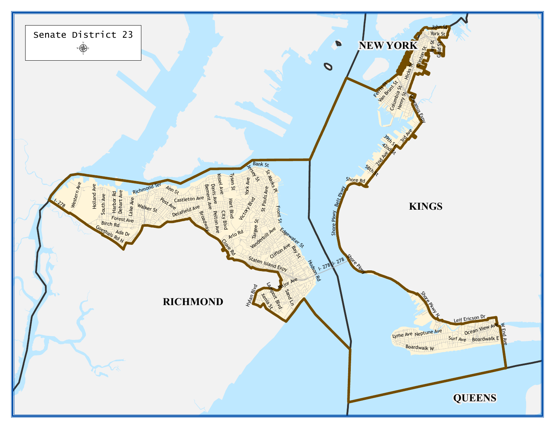